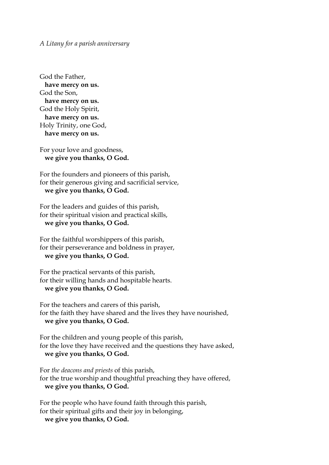*A Litany for a parish anniversary*

God the Father, **have mercy on us.** God the Son, **have mercy on us.** God the Holy Spirit, **have mercy on us.** Holy Trinity, one God, **have mercy on us.**

For your love and goodness, **we give you thanks, O God.**

For the founders and pioneers of this parish, for their generous giving and sacrificial service, **we give you thanks, O God.**

For the leaders and guides of this parish, for their spiritual vision and practical skills, **we give you thanks, O God.**

For the faithful worshippers of this parish, for their perseverance and boldness in prayer, **we give you thanks, O God.**

For the practical servants of this parish, for their willing hands and hospitable hearts. **we give you thanks, O God.**

For the teachers and carers of this parish, for the faith they have shared and the lives they have nourished, **we give you thanks, O God.**

For the children and young people of this parish, for the love they have received and the questions they have asked, **we give you thanks, O God.**

For *the deacons and priests* of this parish, for the true worship and thoughtful preaching they have offered, **we give you thanks, O God.**

For the people who have found faith through this parish, for their spiritual gifts and their joy in belonging, **we give you thanks, O God.**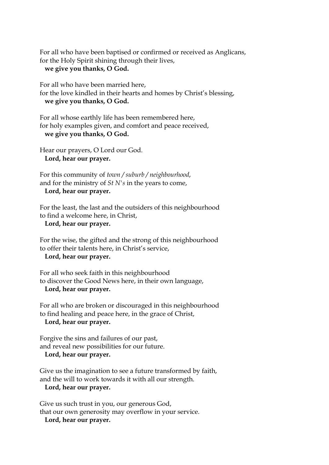For all who have been baptised or confirmed or received as Anglicans, for the Holy Spirit shining through their lives,

## **we give you thanks, O God.**

For all who have been married here, for the love kindled in their hearts and homes by Christ's blessing, **we give you thanks, O God.**

For all whose earthly life has been remembered here, for holy examples given, and comfort and peace received, **we give you thanks, O God.**

Hear our prayers, O Lord our God. **Lord, hear our prayer.**

For this community of *town / suburb / neighbourhood*, and for the ministry of *St N's* in the years to come, **Lord, hear our prayer.**

For the least, the last and the outsiders of this neighbourhood to find a welcome here, in Christ,

**Lord, hear our prayer.**

For the wise, the gifted and the strong of this neighbourhood to offer their talents here, in Christ's service,

**Lord, hear our prayer.**

For all who seek faith in this neighbourhood to discover the Good News here, in their own language, **Lord, hear our prayer.**

For all who are broken or discouraged in this neighbourhood to find healing and peace here, in the grace of Christ, **Lord, hear our prayer.**

Forgive the sins and failures of our past, and reveal new possibilities for our future. **Lord, hear our prayer.**

Give us the imagination to see a future transformed by faith, and the will to work towards it with all our strength.

**Lord, hear our prayer.**

Give us such trust in you, our generous God, that our own generosity may overflow in your service. **Lord, hear our prayer.**